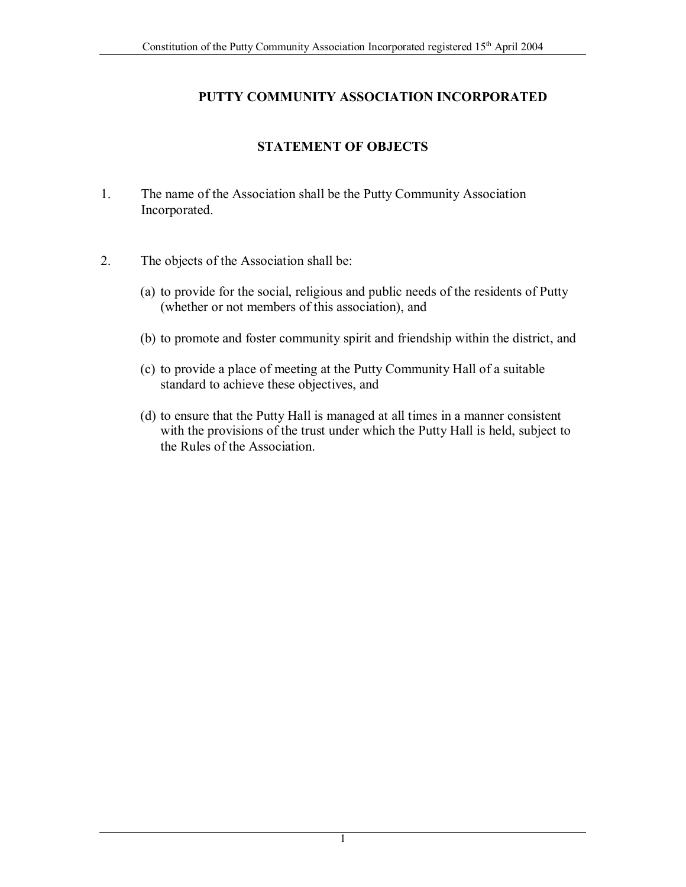## **PUTTY COMMUNITY ASSOCIATION INCORPORATED**

## **STATEMENT OF OBJECTS**

- 1. The name of the Association shall be the Putty Community Association Incorporated.
- 2. The objects of the Association shall be:
	- (a) to provide for the social, religious and public needs of the residents of Putty (whether or not members of this association), and
	- (b) to promote and foster community spirit and friendship within the district, and
	- (c) to provide a place of meeting at the Putty Community Hall of a suitable standard to achieve these objectives, and
	- (d) to ensure that the Putty Hall is managed at all times in a manner consistent with the provisions of the trust under which the Putty Hall is held, subject to the Rules of the Association.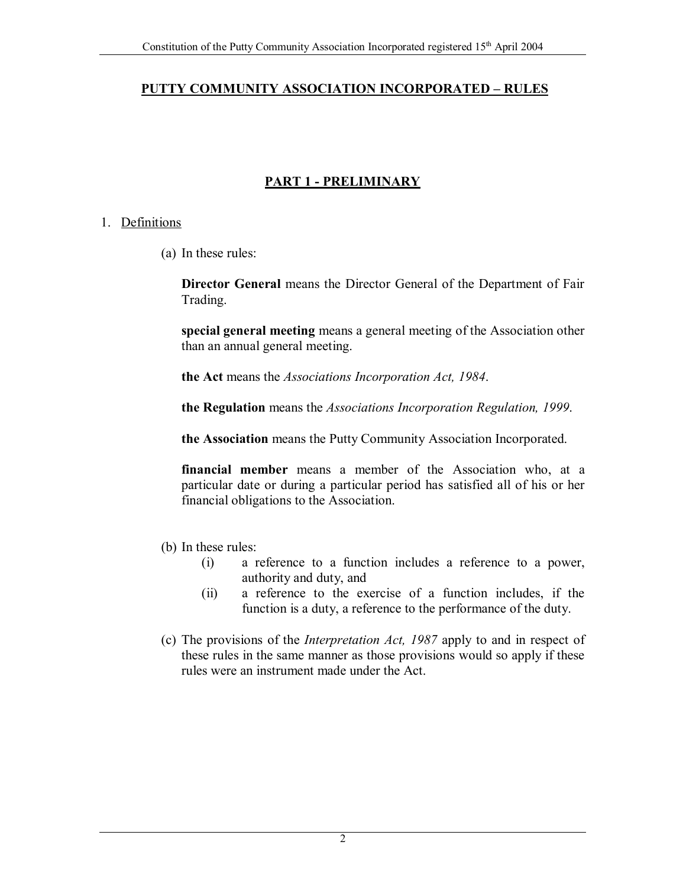## **PUTTY COMMUNITY ASSOCIATION INCORPORATED – RULES**

# **PART 1 - PRELIMINARY**

#### 1. Definitions

(a) In these rules:

**Director General** means the Director General of the Department of Fair Trading.

**special general meeting** means a general meeting of the Association other than an annual general meeting.

**the Act** means the *Associations Incorporation Act, 1984*.

**the Regulation** means the *Associations Incorporation Regulation, 1999*.

**the Association** means the Putty Community Association Incorporated.

**financial member** means a member of the Association who, at a particular date or during a particular period has satisfied all of his or her financial obligations to the Association.

- (b) In these rules:
	- (i) a reference to a function includes a reference to a power, authority and duty, and
	- (ii) a reference to the exercise of a function includes, if the function is a duty, a reference to the performance of the duty.
- (c) The provisions of the *Interpretation Act, 1987* apply to and in respect of these rules in the same manner as those provisions would so apply if these rules were an instrument made under the Act.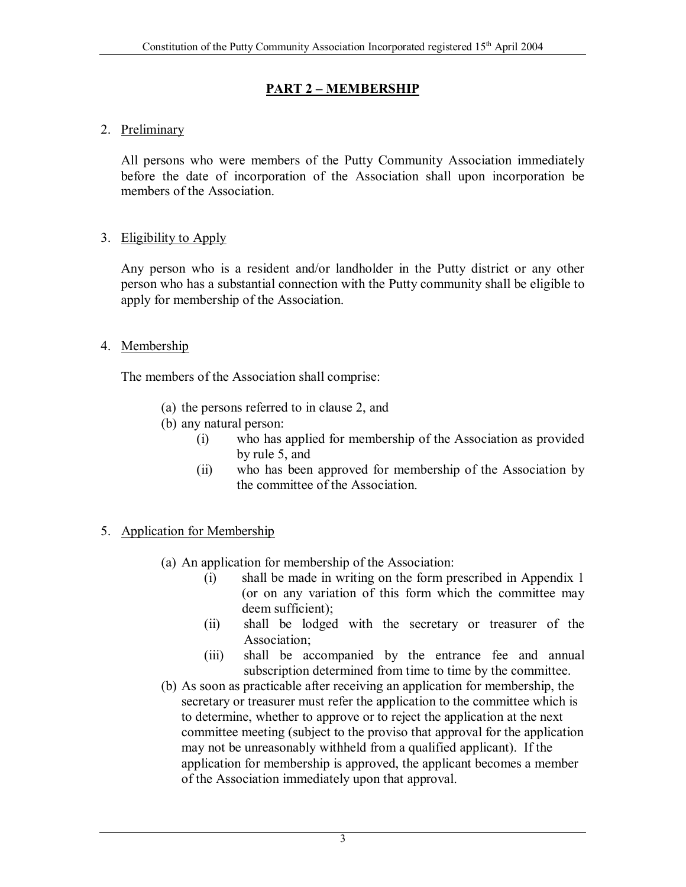## **PART 2 – MEMBERSHIP**

## 2. Preliminary

All persons who were members of the Putty Community Association immediately before the date of incorporation of the Association shall upon incorporation be members of the Association.

## 3. Eligibility to Apply

 Any person who is a resident and/or landholder in the Putty district or any other person who has a substantial connection with the Putty community shall be eligible to apply for membership of the Association.

## 4. Membership

The members of the Association shall comprise:

- (a) the persons referred to in clause 2, and
- (b) any natural person:
	- (i) who has applied for membership of the Association as provided by rule 5, and
	- (ii) who has been approved for membership of the Association by the committee of the Association.
- 5. Application for Membership
	- (a) An application for membership of the Association:
		- (i) shall be made in writing on the form prescribed in Appendix 1 (or on any variation of this form which the committee may deem sufficient);
		- (ii) shall be lodged with the secretary or treasurer of the Association;
		- (iii) shall be accompanied by the entrance fee and annual subscription determined from time to time by the committee.
	- (b) As soon as practicable after receiving an application for membership, the secretary or treasurer must refer the application to the committee which is to determine, whether to approve or to reject the application at the next committee meeting (subject to the proviso that approval for the application may not be unreasonably withheld from a qualified applicant). If the application for membership is approved, the applicant becomes a member of the Association immediately upon that approval.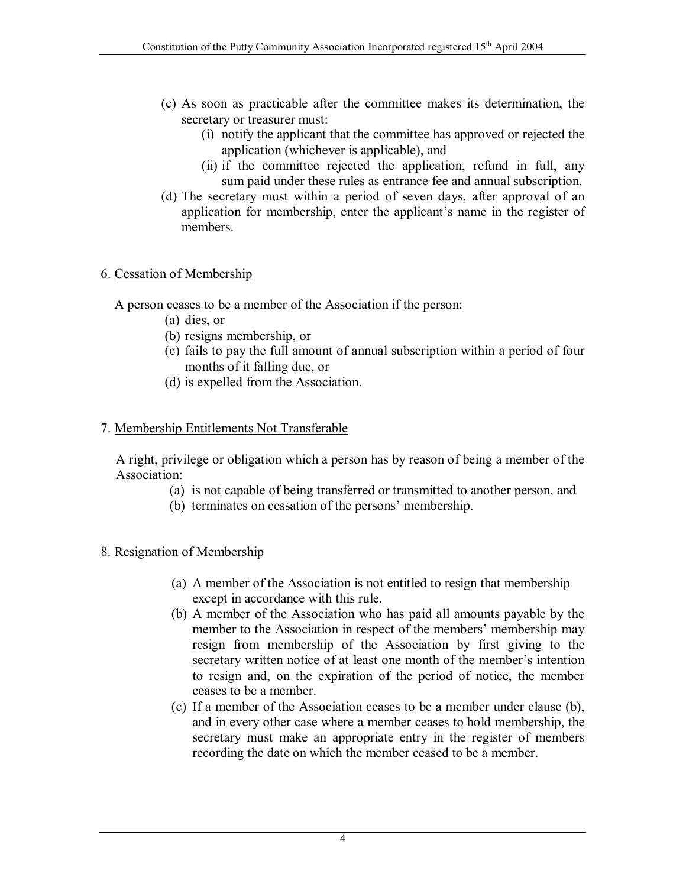- (c) As soon as practicable after the committee makes its determination, the secretary or treasurer must:
	- (i) notify the applicant that the committee has approved or rejected the application (whichever is applicable), and
	- (ii) if the committee rejected the application, refund in full, any sum paid under these rules as entrance fee and annual subscription.
- (d) The secretary must within a period of seven days, after approval of an application for membership, enter the applicant's name in the register of members.

## 6. Cessation of Membership

A person ceases to be a member of the Association if the person:

- (a) dies, or
- (b) resigns membership, or
- (c) fails to pay the full amount of annual subscription within a period of four months of it falling due, or
- (d) is expelled from the Association.

## 7. Membership Entitlements Not Transferable

A right, privilege or obligation which a person has by reason of being a member of the Association:

- (a) is not capable of being transferred or transmitted to another person, and
- (b) terminates on cessation of the persons' membership.

## 8. Resignation of Membership

- (a) A member of the Association is not entitled to resign that membership except in accordance with this rule.
- (b) A member of the Association who has paid all amounts payable by the member to the Association in respect of the members' membership may resign from membership of the Association by first giving to the secretary written notice of at least one month of the member's intention to resign and, on the expiration of the period of notice, the member ceases to be a member.
- (c) If a member of the Association ceases to be a member under clause (b), and in every other case where a member ceases to hold membership, the secretary must make an appropriate entry in the register of members recording the date on which the member ceased to be a member.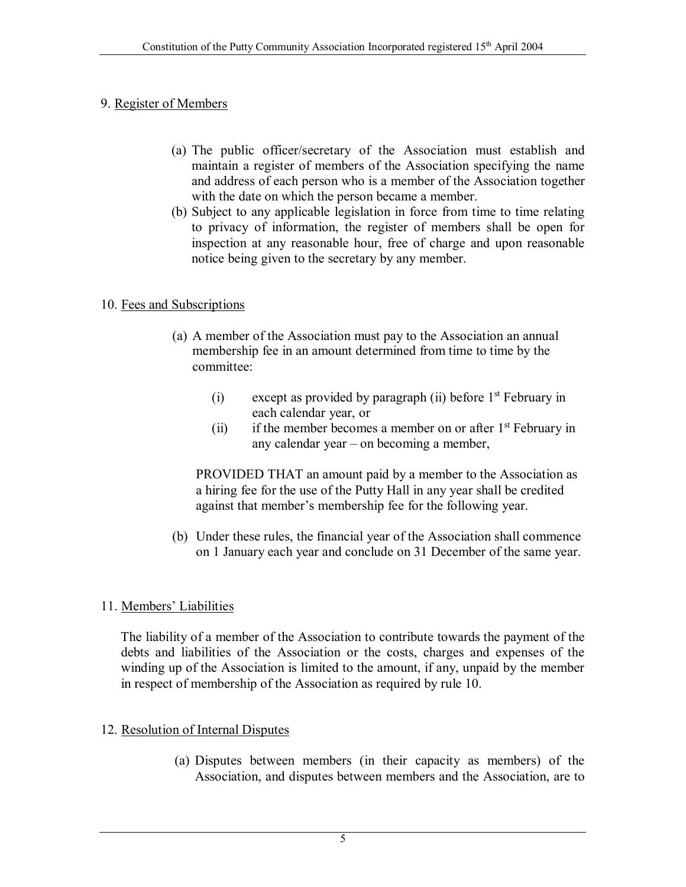## 9. Register of Members

- (a) The public officer/secretary of the Association must establish and maintain a register of members of the Association specifying the name and address of each person who is a member of the Association together with the date on which the person became a member.
- (b) Subject to any applicable legislation in force from time to time relating to privacy of information, the register of members shall be open for inspection at any reasonable hour, free of charge and upon reasonable notice being given to the secretary by any member.

# 10. Fees and Subscriptions

- (a) A member of the Association must pay to the Association an annual membership fee in an amount determined from time to time by the committee:
	- (i) except as provided by paragraph (ii) before  $1<sup>st</sup>$  February in each calendar year, or
	- (ii) if the member becomes a member on or after  $1<sup>st</sup>$  February in any calendar year – on becoming a member,

PROVIDED THAT an amount paid by a member to the Association as a hiring fee for the use of the Putty Hall in any year shall be credited against that member's membership fee for the following year.

(b) Under these rules, the financial year of the Association shall commence on 1 January each year and conclude on 31 December of the same year.

# 11. Members' Liabilities

 The liability of a member of the Association to contribute towards the payment of the debts and liabilities of the Association or the costs, charges and expenses of the winding up of the Association is limited to the amount, if any, unpaid by the member in respect of membership of the Association as required by rule 10.

## 12. Resolution of Internal Disputes

(a) Disputes between members (in their capacity as members) of the Association, and disputes between members and the Association, are to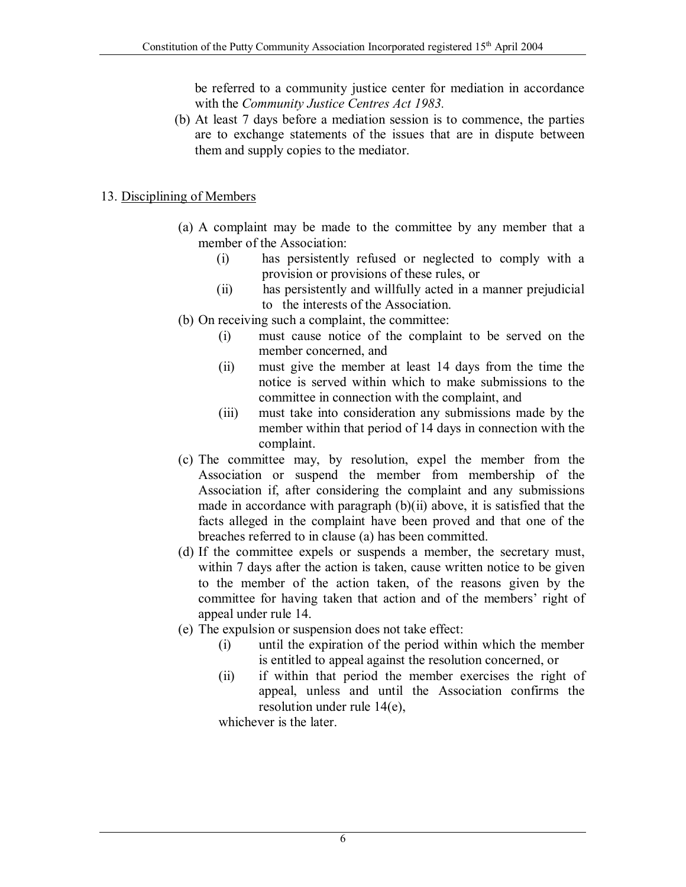be referred to a community justice center for mediation in accordance with the *Community Justice Centres Act 1983.*

(b) At least 7 days before a mediation session is to commence, the parties are to exchange statements of the issues that are in dispute between them and supply copies to the mediator.

#### 13. Disciplining of Members

- (a) A complaint may be made to the committee by any member that a member of the Association:
	- (i) has persistently refused or neglected to comply with a provision or provisions of these rules, or
	- (ii) has persistently and willfully acted in a manner prejudicial to the interests of the Association.
- (b) On receiving such a complaint, the committee:
	- (i) must cause notice of the complaint to be served on the member concerned, and
	- (ii) must give the member at least 14 days from the time the notice is served within which to make submissions to the committee in connection with the complaint, and
	- (iii) must take into consideration any submissions made by the member within that period of 14 days in connection with the complaint.
- (c) The committee may, by resolution, expel the member from the Association or suspend the member from membership of the Association if, after considering the complaint and any submissions made in accordance with paragraph (b)(ii) above, it is satisfied that the facts alleged in the complaint have been proved and that one of the breaches referred to in clause (a) has been committed.
- (d) If the committee expels or suspends a member, the secretary must, within 7 days after the action is taken, cause written notice to be given to the member of the action taken, of the reasons given by the committee for having taken that action and of the members' right of appeal under rule 14.
- (e) The expulsion or suspension does not take effect:
	- (i) until the expiration of the period within which the member is entitled to appeal against the resolution concerned, or
	- (ii) if within that period the member exercises the right of appeal, unless and until the Association confirms the resolution under rule 14(e),

whichever is the later.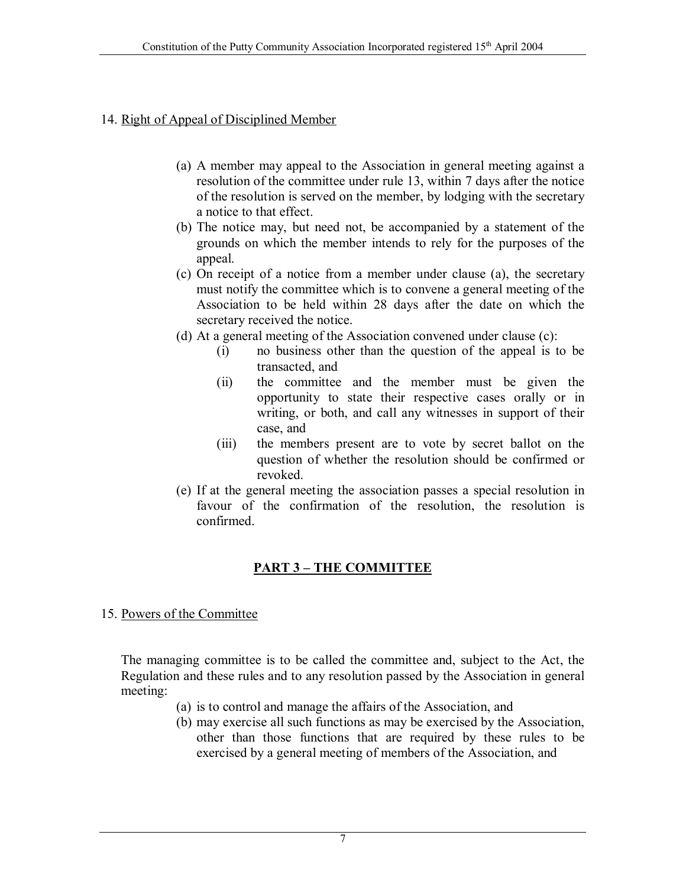#### 14. Right of Appeal of Disciplined Member

- (a) A member may appeal to the Association in general meeting against a resolution of the committee under rule 13, within 7 days after the notice of the resolution is served on the member, by lodging with the secretary a notice to that effect.
- (b) The notice may, but need not, be accompanied by a statement of the grounds on which the member intends to rely for the purposes of the appeal.
- (c) On receipt of a notice from a member under clause (a), the secretary must notify the committee which is to convene a general meeting of the Association to be held within 28 days after the date on which the secretary received the notice.
- (d) At a general meeting of the Association convened under clause (c):
	- (i) no business other than the question of the appeal is to be transacted, and
	- (ii) the committee and the member must be given the opportunity to state their respective cases orally or in writing, or both, and call any witnesses in support of their case, and
	- (iii) the members present are to vote by secret ballot on the question of whether the resolution should be confirmed or revoked.
- (e) If at the general meeting the association passes a special resolution in favour of the confirmation of the resolution, the resolution is confirmed.

#### **PART 3 – THE COMMITTEE**

#### 15. Powers of the Committee

The managing committee is to be called the committee and, subject to the Act, the Regulation and these rules and to any resolution passed by the Association in general meeting:

- (a) is to control and manage the affairs of the Association, and
- (b) may exercise all such functions as may be exercised by the Association, other than those functions that are required by these rules to be exercised by a general meeting of members of the Association, and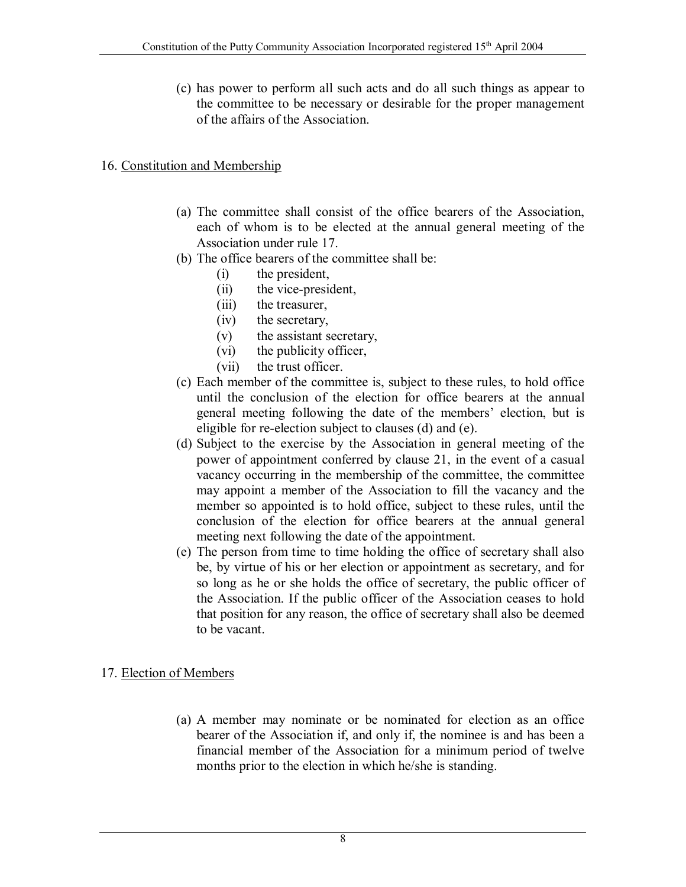(c) has power to perform all such acts and do all such things as appear to the committee to be necessary or desirable for the proper management of the affairs of the Association.

## 16. Constitution and Membership

- (a) The committee shall consist of the office bearers of the Association, each of whom is to be elected at the annual general meeting of the Association under rule 17.
- (b) The office bearers of the committee shall be:
	- (i) the president,
	- (ii) the vice-president,
	- (iii) the treasurer,
	- (iv) the secretary,
	- (v) the assistant secretary,
	- (vi) the publicity officer,
	- (vii) the trust officer.
- (c) Each member of the committee is, subject to these rules, to hold office until the conclusion of the election for office bearers at the annual general meeting following the date of the members' election, but is eligible for re-election subject to clauses (d) and (e).
- (d) Subject to the exercise by the Association in general meeting of the power of appointment conferred by clause 21, in the event of a casual vacancy occurring in the membership of the committee, the committee may appoint a member of the Association to fill the vacancy and the member so appointed is to hold office, subject to these rules, until the conclusion of the election for office bearers at the annual general meeting next following the date of the appointment.
- (e) The person from time to time holding the office of secretary shall also be, by virtue of his or her election or appointment as secretary, and for so long as he or she holds the office of secretary, the public officer of the Association. If the public officer of the Association ceases to hold that position for any reason, the office of secretary shall also be deemed to be vacant.

#### 17. Election of Members

(a) A member may nominate or be nominated for election as an office bearer of the Association if, and only if, the nominee is and has been a financial member of the Association for a minimum period of twelve months prior to the election in which he/she is standing.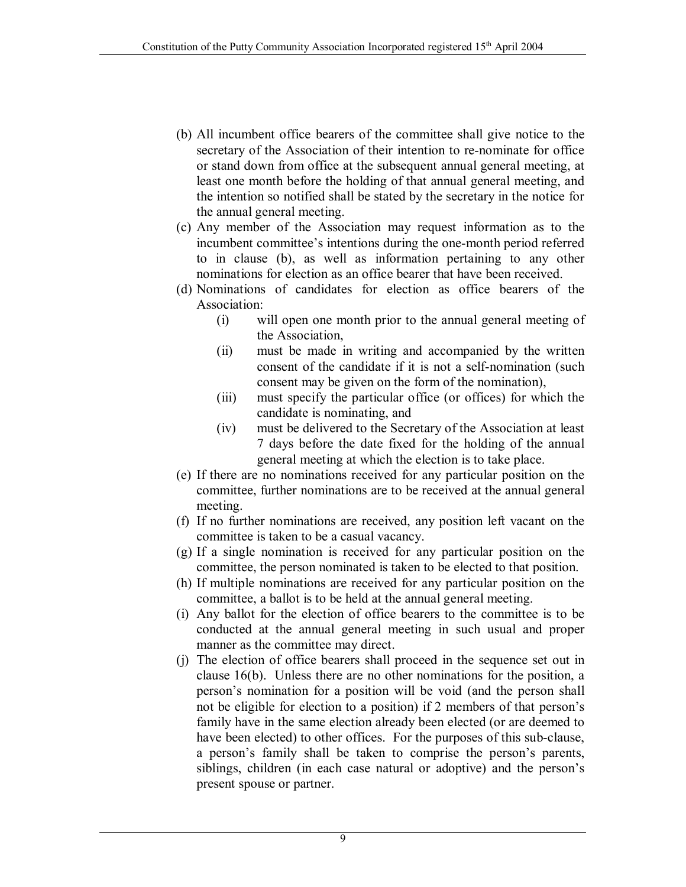- (b) All incumbent office bearers of the committee shall give notice to the secretary of the Association of their intention to re-nominate for office or stand down from office at the subsequent annual general meeting, at least one month before the holding of that annual general meeting, and the intention so notified shall be stated by the secretary in the notice for the annual general meeting.
- (c) Any member of the Association may request information as to the incumbent committee's intentions during the one-month period referred to in clause (b), as well as information pertaining to any other nominations for election as an office bearer that have been received.
- (d) Nominations of candidates for election as office bearers of the Association:
	- (i) will open one month prior to the annual general meeting of the Association,
	- (ii) must be made in writing and accompanied by the written consent of the candidate if it is not a self-nomination (such consent may be given on the form of the nomination),
	- (iii) must specify the particular office (or offices) for which the candidate is nominating, and
	- (iv) must be delivered to the Secretary of the Association at least 7 days before the date fixed for the holding of the annual general meeting at which the election is to take place.
- (e) If there are no nominations received for any particular position on the committee, further nominations are to be received at the annual general meeting.
- (f) If no further nominations are received, any position left vacant on the committee is taken to be a casual vacancy.
- (g) If a single nomination is received for any particular position on the committee, the person nominated is taken to be elected to that position.
- (h) If multiple nominations are received for any particular position on the committee, a ballot is to be held at the annual general meeting.
- (i) Any ballot for the election of office bearers to the committee is to be conducted at the annual general meeting in such usual and proper manner as the committee may direct.
- (j) The election of office bearers shall proceed in the sequence set out in clause 16(b). Unless there are no other nominations for the position, a person's nomination for a position will be void (and the person shall not be eligible for election to a position) if 2 members of that person's family have in the same election already been elected (or are deemed to have been elected) to other offices. For the purposes of this sub-clause, a person's family shall be taken to comprise the person's parents, siblings, children (in each case natural or adoptive) and the person's present spouse or partner.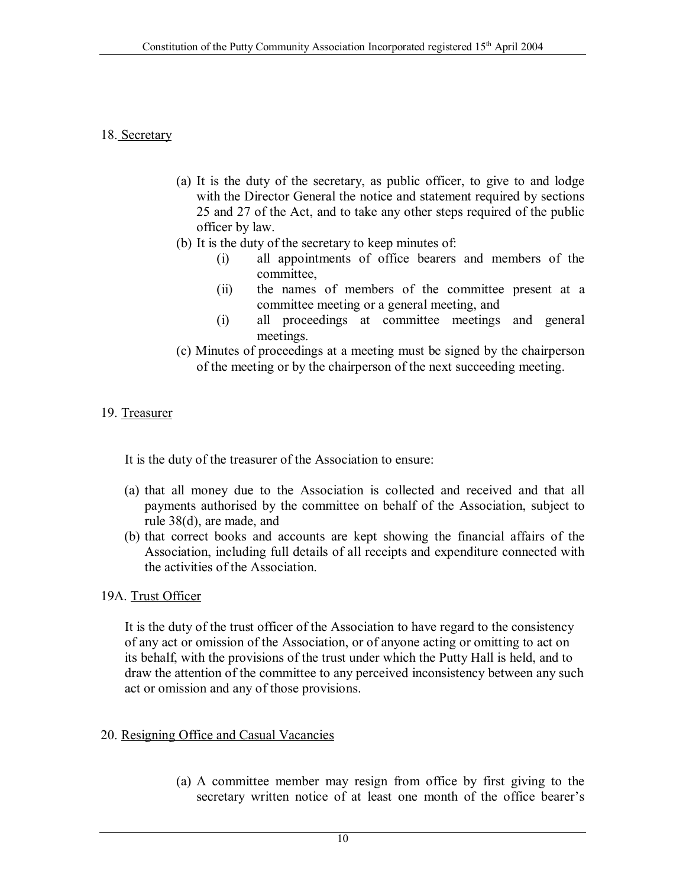#### 18. Secretary

- (a) It is the duty of the secretary, as public officer, to give to and lodge with the Director General the notice and statement required by sections 25 and 27 of the Act, and to take any other steps required of the public officer by law.
- (b) It is the duty of the secretary to keep minutes of:
	- (i) all appointments of office bearers and members of the committee,
	- (ii) the names of members of the committee present at a committee meeting or a general meeting, and
	- (i) all proceedings at committee meetings and general meetings.
- (c) Minutes of proceedings at a meeting must be signed by the chairperson of the meeting or by the chairperson of the next succeeding meeting.

#### 19. Treasurer

It is the duty of the treasurer of the Association to ensure:

- (a) that all money due to the Association is collected and received and that all payments authorised by the committee on behalf of the Association, subject to rule 38(d), are made, and
- (b) that correct books and accounts are kept showing the financial affairs of the Association, including full details of all receipts and expenditure connected with the activities of the Association.
- 19A. Trust Officer

It is the duty of the trust officer of the Association to have regard to the consistency of any act or omission of the Association, or of anyone acting or omitting to act on its behalf, with the provisions of the trust under which the Putty Hall is held, and to draw the attention of the committee to any perceived inconsistency between any such act or omission and any of those provisions.

- 20. Resigning Office and Casual Vacancies
	- (a) A committee member may resign from office by first giving to the secretary written notice of at least one month of the office bearer's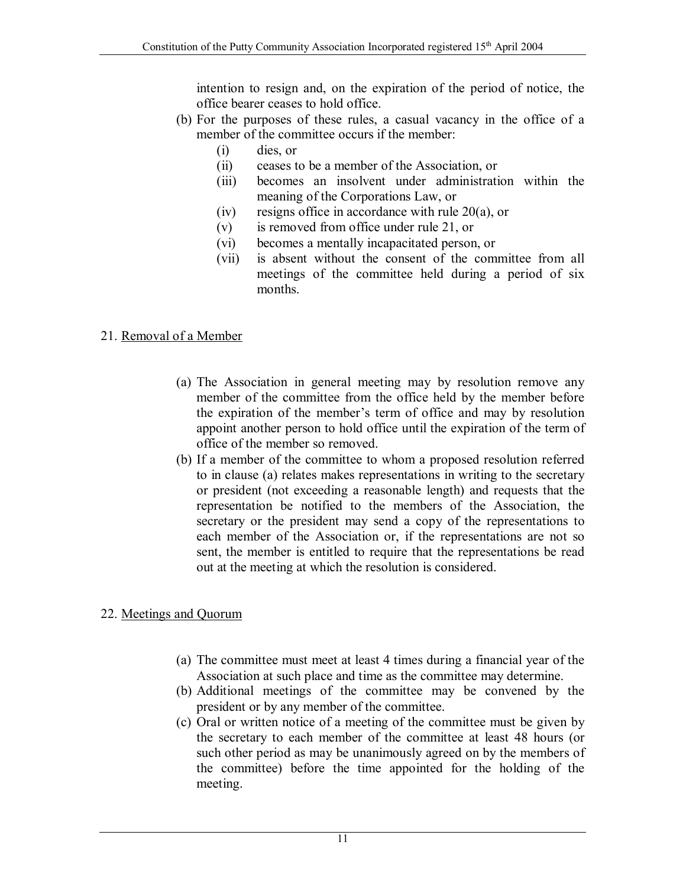intention to resign and, on the expiration of the period of notice, the office bearer ceases to hold office.

- (b) For the purposes of these rules, a casual vacancy in the office of a member of the committee occurs if the member:
	- (i) dies, or
	- (ii) ceases to be a member of the Association, or
	- (iii) becomes an insolvent under administration within the meaning of the Corporations Law, or
	- (iv) resigns office in accordance with rule 20(a), or
	- (v) is removed from office under rule 21, or
	- (vi) becomes a mentally incapacitated person, or
	- (vii) is absent without the consent of the committee from all meetings of the committee held during a period of six months.

#### 21. Removal of a Member

- (a) The Association in general meeting may by resolution remove any member of the committee from the office held by the member before the expiration of the member's term of office and may by resolution appoint another person to hold office until the expiration of the term of office of the member so removed.
- (b) If a member of the committee to whom a proposed resolution referred to in clause (a) relates makes representations in writing to the secretary or president (not exceeding a reasonable length) and requests that the representation be notified to the members of the Association, the secretary or the president may send a copy of the representations to each member of the Association or, if the representations are not so sent, the member is entitled to require that the representations be read out at the meeting at which the resolution is considered.

#### 22. Meetings and Quorum

- (a) The committee must meet at least 4 times during a financial year of the Association at such place and time as the committee may determine.
- (b) Additional meetings of the committee may be convened by the president or by any member of the committee.
- (c) Oral or written notice of a meeting of the committee must be given by the secretary to each member of the committee at least 48 hours (or such other period as may be unanimously agreed on by the members of the committee) before the time appointed for the holding of the meeting.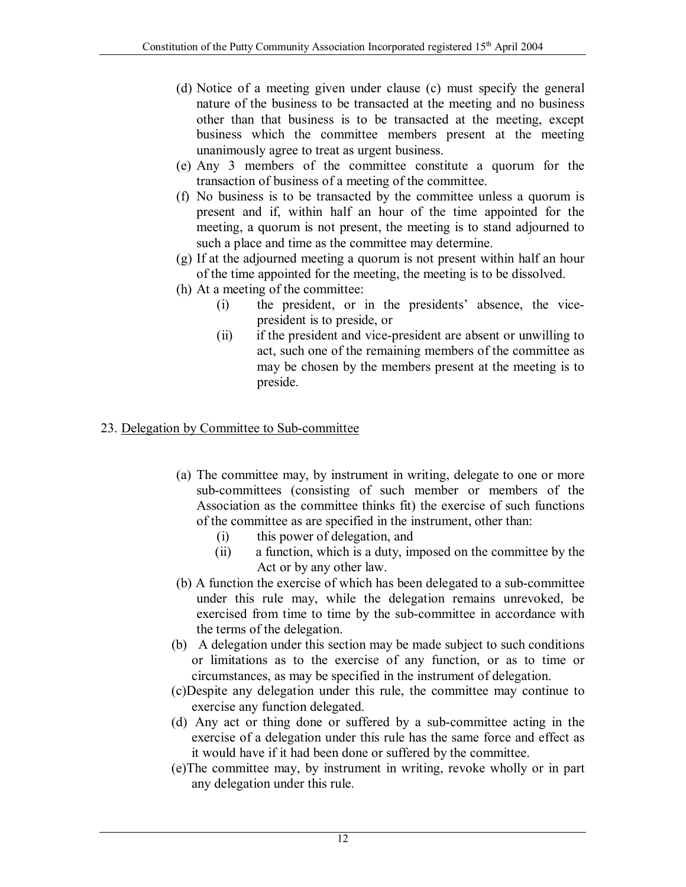- (d) Notice of a meeting given under clause (c) must specify the general nature of the business to be transacted at the meeting and no business other than that business is to be transacted at the meeting, except business which the committee members present at the meeting unanimously agree to treat as urgent business.
- (e) Any 3 members of the committee constitute a quorum for the transaction of business of a meeting of the committee.
- (f) No business is to be transacted by the committee unless a quorum is present and if, within half an hour of the time appointed for the meeting, a quorum is not present, the meeting is to stand adjourned to such a place and time as the committee may determine.
- (g) If at the adjourned meeting a quorum is not present within half an hour of the time appointed for the meeting, the meeting is to be dissolved.
- (h) At a meeting of the committee:
	- (i) the president, or in the presidents' absence, the vicepresident is to preside, or
	- (ii) if the president and vice-president are absent or unwilling to act, such one of the remaining members of the committee as may be chosen by the members present at the meeting is to preside.

# 23. Delegation by Committee to Sub-committee

- (a) The committee may, by instrument in writing, delegate to one or more sub-committees (consisting of such member or members of the Association as the committee thinks fit) the exercise of such functions of the committee as are specified in the instrument, other than:
	- (i) this power of delegation, and
	- (ii) a function, which is a duty, imposed on the committee by the Act or by any other law.
- (b) A function the exercise of which has been delegated to a sub-committee under this rule may, while the delegation remains unrevoked, be exercised from time to time by the sub-committee in accordance with the terms of the delegation.
- (b) A delegation under this section may be made subject to such conditions or limitations as to the exercise of any function, or as to time or circumstances, as may be specified in the instrument of delegation.
- (c)Despite any delegation under this rule, the committee may continue to exercise any function delegated.
- (d) Any act or thing done or suffered by a sub-committee acting in the exercise of a delegation under this rule has the same force and effect as it would have if it had been done or suffered by the committee.
- (e)The committee may, by instrument in writing, revoke wholly or in part any delegation under this rule.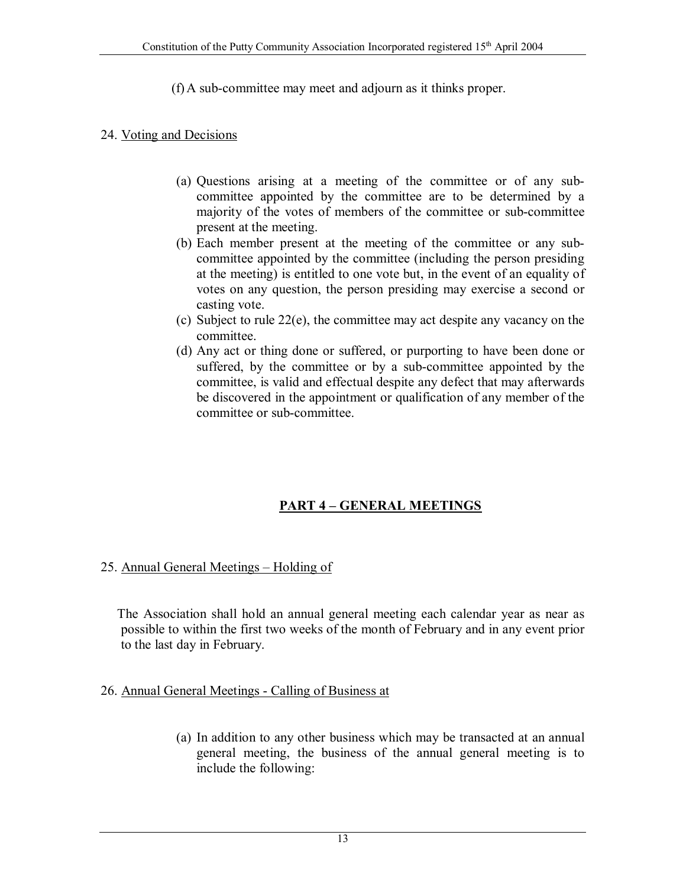(f) A sub-committee may meet and adjourn as it thinks proper.

#### 24. Voting and Decisions

- (a) Questions arising at a meeting of the committee or of any subcommittee appointed by the committee are to be determined by a majority of the votes of members of the committee or sub-committee present at the meeting.
- (b) Each member present at the meeting of the committee or any subcommittee appointed by the committee (including the person presiding at the meeting) is entitled to one vote but, in the event of an equality of votes on any question, the person presiding may exercise a second or casting vote.
- (c) Subject to rule 22(e), the committee may act despite any vacancy on the committee.
- (d) Any act or thing done or suffered, or purporting to have been done or suffered, by the committee or by a sub-committee appointed by the committee, is valid and effectual despite any defect that may afterwards be discovered in the appointment or qualification of any member of the committee or sub-committee.

## **PART 4 – GENERAL MEETINGS**

#### 25. Annual General Meetings – Holding of

 The Association shall hold an annual general meeting each calendar year as near as possible to within the first two weeks of the month of February and in any event prior to the last day in February.

#### 26. Annual General Meetings - Calling of Business at

(a) In addition to any other business which may be transacted at an annual general meeting, the business of the annual general meeting is to include the following: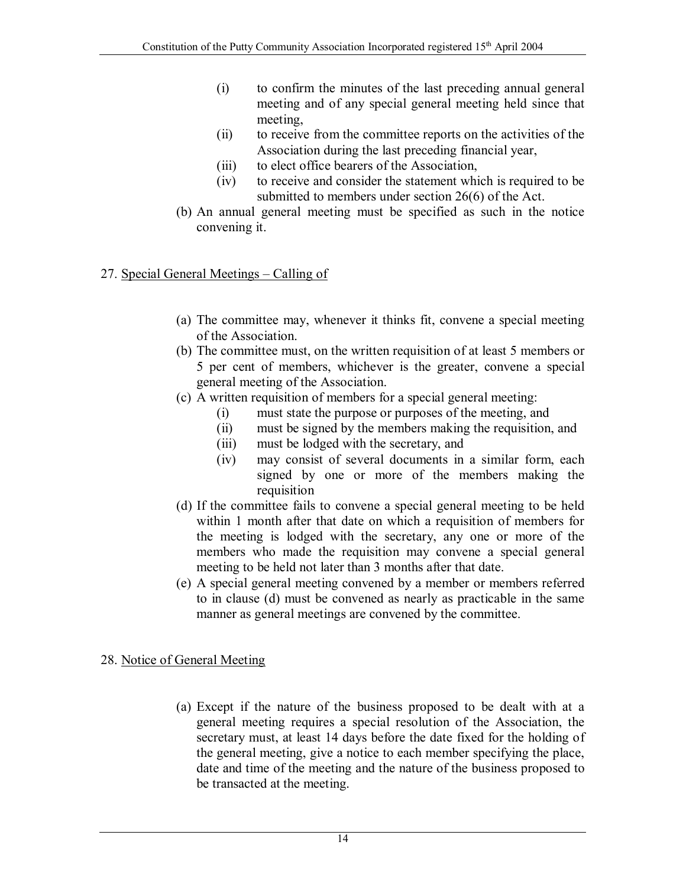- (i) to confirm the minutes of the last preceding annual general meeting and of any special general meeting held since that meeting,
- (ii) to receive from the committee reports on the activities of the Association during the last preceding financial year,
- (iii) to elect office bearers of the Association,
- (iv) to receive and consider the statement which is required to be submitted to members under section 26(6) of the Act.
- (b) An annual general meeting must be specified as such in the notice convening it.

## 27. Special General Meetings – Calling of

- (a) The committee may, whenever it thinks fit, convene a special meeting of the Association.
- (b) The committee must, on the written requisition of at least 5 members or 5 per cent of members, whichever is the greater, convene a special general meeting of the Association.
- (c) A written requisition of members for a special general meeting:
	- (i) must state the purpose or purposes of the meeting, and
	- (ii) must be signed by the members making the requisition, and
	- (iii) must be lodged with the secretary, and
	- (iv) may consist of several documents in a similar form, each signed by one or more of the members making the requisition
- (d) If the committee fails to convene a special general meeting to be held within 1 month after that date on which a requisition of members for the meeting is lodged with the secretary, any one or more of the members who made the requisition may convene a special general meeting to be held not later than 3 months after that date.
- (e) A special general meeting convened by a member or members referred to in clause (d) must be convened as nearly as practicable in the same manner as general meetings are convened by the committee.

## 28. Notice of General Meeting

(a) Except if the nature of the business proposed to be dealt with at a general meeting requires a special resolution of the Association, the secretary must, at least 14 days before the date fixed for the holding of the general meeting, give a notice to each member specifying the place, date and time of the meeting and the nature of the business proposed to be transacted at the meeting.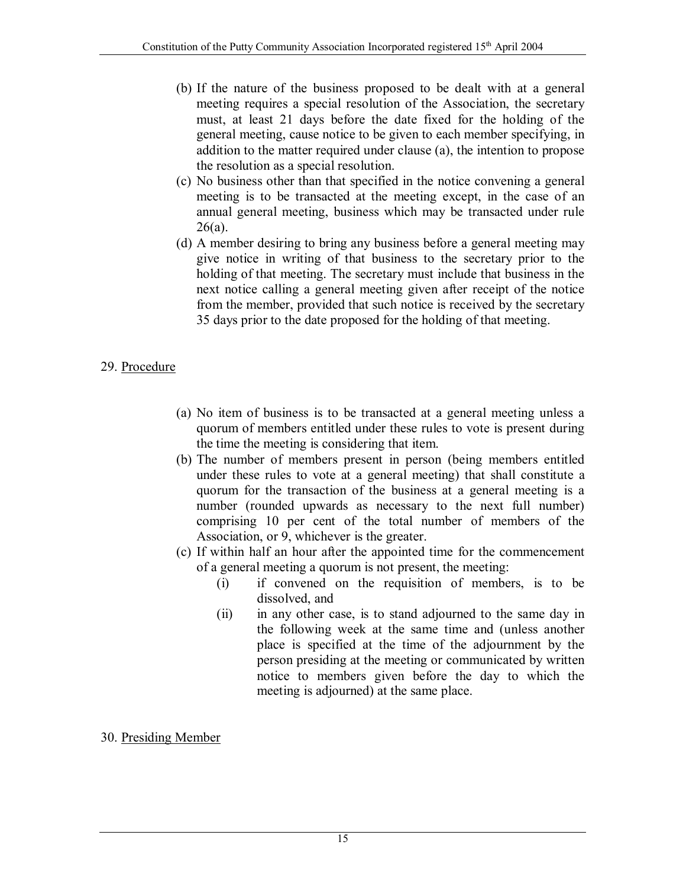- (b) If the nature of the business proposed to be dealt with at a general meeting requires a special resolution of the Association, the secretary must, at least 21 days before the date fixed for the holding of the general meeting, cause notice to be given to each member specifying, in addition to the matter required under clause (a), the intention to propose the resolution as a special resolution.
- (c) No business other than that specified in the notice convening a general meeting is to be transacted at the meeting except, in the case of an annual general meeting, business which may be transacted under rule  $26(a)$ .
- (d) A member desiring to bring any business before a general meeting may give notice in writing of that business to the secretary prior to the holding of that meeting. The secretary must include that business in the next notice calling a general meeting given after receipt of the notice from the member, provided that such notice is received by the secretary 35 days prior to the date proposed for the holding of that meeting.

## 29. Procedure

- (a) No item of business is to be transacted at a general meeting unless a quorum of members entitled under these rules to vote is present during the time the meeting is considering that item.
- (b) The number of members present in person (being members entitled under these rules to vote at a general meeting) that shall constitute a quorum for the transaction of the business at a general meeting is a number (rounded upwards as necessary to the next full number) comprising 10 per cent of the total number of members of the Association, or 9, whichever is the greater.
- (c) If within half an hour after the appointed time for the commencement of a general meeting a quorum is not present, the meeting:
	- (i) if convened on the requisition of members, is to be dissolved, and
	- (ii) in any other case, is to stand adjourned to the same day in the following week at the same time and (unless another place is specified at the time of the adjournment by the person presiding at the meeting or communicated by written notice to members given before the day to which the meeting is adjourned) at the same place.

#### 30. Presiding Member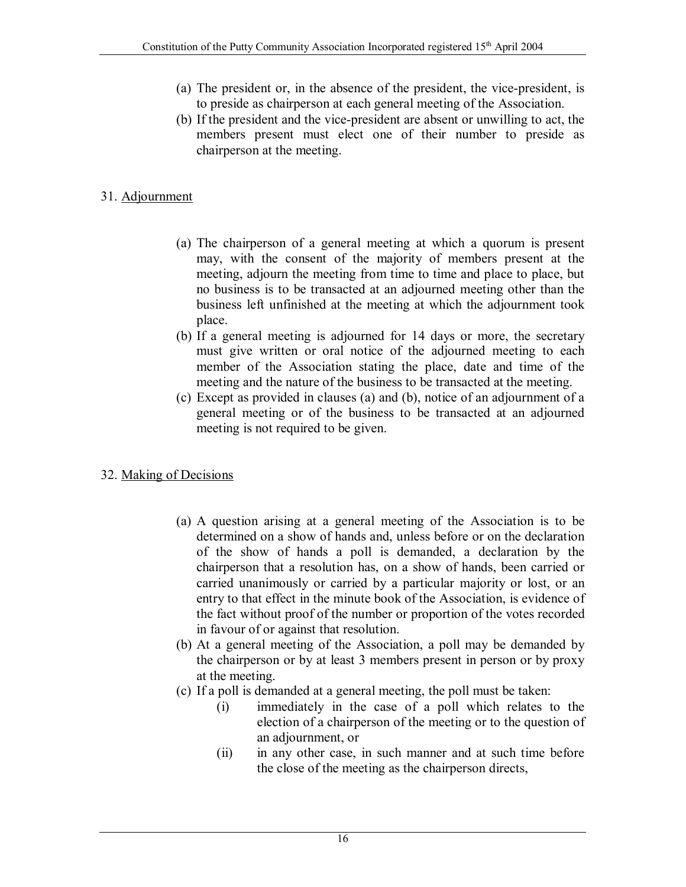- (a) The president or, in the absence of the president, the vice-president, is to preside as chairperson at each general meeting of the Association.
- (b) If the president and the vice-president are absent or unwilling to act, the members present must elect one of their number to preside as chairperson at the meeting.

# 31. Adjournment

- (a) The chairperson of a general meeting at which a quorum is present may, with the consent of the majority of members present at the meeting, adjourn the meeting from time to time and place to place, but no business is to be transacted at an adjourned meeting other than the business left unfinished at the meeting at which the adjournment took place.
- (b) If a general meeting is adjourned for 14 days or more, the secretary must give written or oral notice of the adjourned meeting to each member of the Association stating the place, date and time of the meeting and the nature of the business to be transacted at the meeting.
- (c) Except as provided in clauses (a) and (b), notice of an adjournment of a general meeting or of the business to be transacted at an adjourned meeting is not required to be given.

# 32. Making of Decisions

- (a) A question arising at a general meeting of the Association is to be determined on a show of hands and, unless before or on the declaration of the show of hands a poll is demanded, a declaration by the chairperson that a resolution has, on a show of hands, been carried or carried unanimously or carried by a particular majority or lost, or an entry to that effect in the minute book of the Association, is evidence of the fact without proof of the number or proportion of the votes recorded in favour of or against that resolution.
- (b) At a general meeting of the Association, a poll may be demanded by the chairperson or by at least 3 members present in person or by proxy at the meeting.
- (c) If a poll is demanded at a general meeting, the poll must be taken:
	- (i) immediately in the case of a poll which relates to the election of a chairperson of the meeting or to the question of an adjournment, or
	- (ii) in any other case, in such manner and at such time before the close of the meeting as the chairperson directs,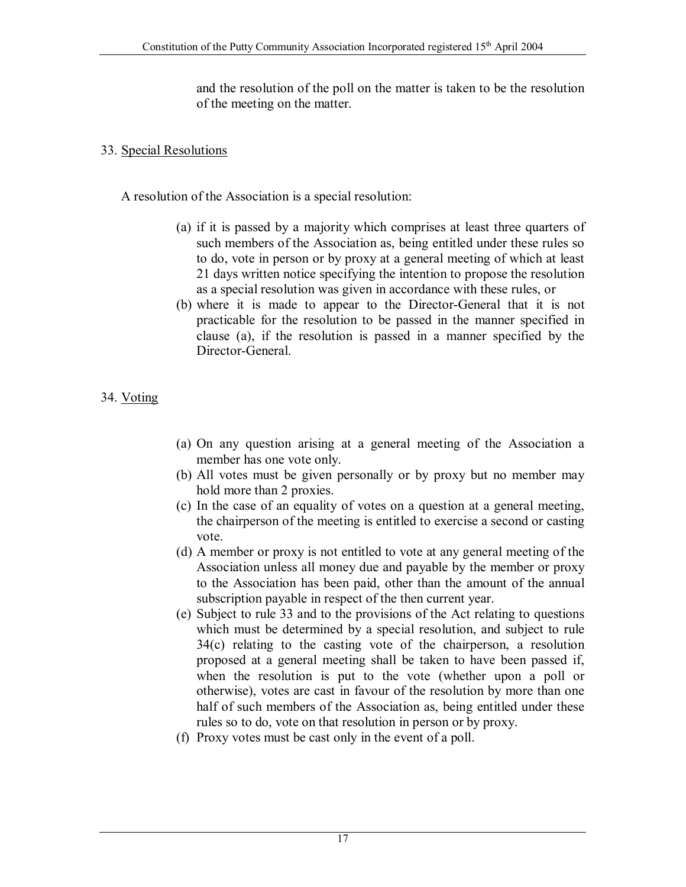and the resolution of the poll on the matter is taken to be the resolution of the meeting on the matter.

## 33. Special Resolutions

A resolution of the Association is a special resolution:

- (a) if it is passed by a majority which comprises at least three quarters of such members of the Association as, being entitled under these rules so to do, vote in person or by proxy at a general meeting of which at least 21 days written notice specifying the intention to propose the resolution as a special resolution was given in accordance with these rules, or
- (b) where it is made to appear to the Director-General that it is not practicable for the resolution to be passed in the manner specified in clause (a), if the resolution is passed in a manner specified by the Director-General.

# 34. Voting

- (a) On any question arising at a general meeting of the Association a member has one vote only.
- (b) All votes must be given personally or by proxy but no member may hold more than 2 proxies.
- (c) In the case of an equality of votes on a question at a general meeting, the chairperson of the meeting is entitled to exercise a second or casting vote.
- (d) A member or proxy is not entitled to vote at any general meeting of the Association unless all money due and payable by the member or proxy to the Association has been paid, other than the amount of the annual subscription payable in respect of the then current year.
- (e) Subject to rule 33 and to the provisions of the Act relating to questions which must be determined by a special resolution, and subject to rule 34(c) relating to the casting vote of the chairperson, a resolution proposed at a general meeting shall be taken to have been passed if, when the resolution is put to the vote (whether upon a poll or otherwise), votes are cast in favour of the resolution by more than one half of such members of the Association as, being entitled under these rules so to do, vote on that resolution in person or by proxy.
- (f) Proxy votes must be cast only in the event of a poll.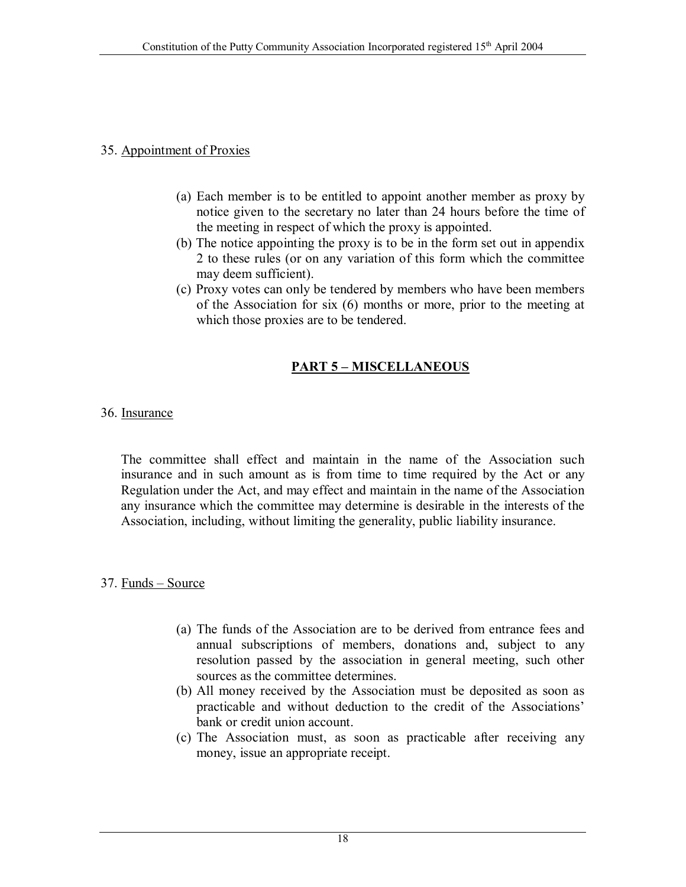#### 35. Appointment of Proxies

- (a) Each member is to be entitled to appoint another member as proxy by notice given to the secretary no later than 24 hours before the time of the meeting in respect of which the proxy is appointed.
- (b) The notice appointing the proxy is to be in the form set out in appendix 2 to these rules (or on any variation of this form which the committee may deem sufficient).
- (c) Proxy votes can only be tendered by members who have been members of the Association for six (6) months or more, prior to the meeting at which those proxies are to be tendered.

## **PART 5 – MISCELLANEOUS**

#### 36. Insurance

The committee shall effect and maintain in the name of the Association such insurance and in such amount as is from time to time required by the Act or any Regulation under the Act, and may effect and maintain in the name of the Association any insurance which the committee may determine is desirable in the interests of the Association, including, without limiting the generality, public liability insurance.

#### 37. Funds – Source

- (a) The funds of the Association are to be derived from entrance fees and annual subscriptions of members, donations and, subject to any resolution passed by the association in general meeting, such other sources as the committee determines.
- (b) All money received by the Association must be deposited as soon as practicable and without deduction to the credit of the Associations' bank or credit union account.
- (c) The Association must, as soon as practicable after receiving any money, issue an appropriate receipt.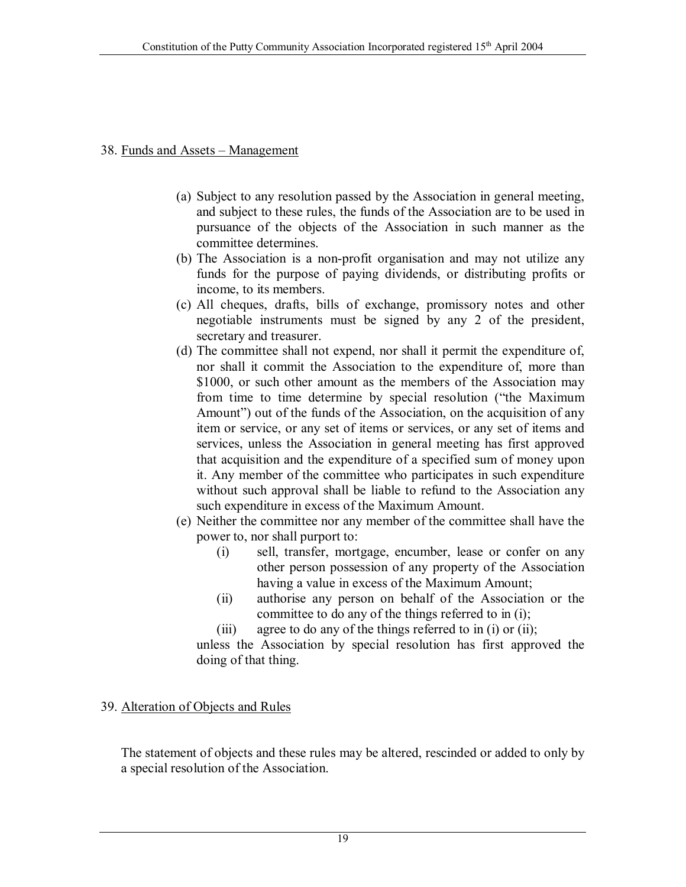#### 38. Funds and Assets – Management

- (a) Subject to any resolution passed by the Association in general meeting, and subject to these rules, the funds of the Association are to be used in pursuance of the objects of the Association in such manner as the committee determines.
- (b) The Association is a non-profit organisation and may not utilize any funds for the purpose of paying dividends, or distributing profits or income, to its members.
- (c) All cheques, drafts, bills of exchange, promissory notes and other negotiable instruments must be signed by any 2 of the president, secretary and treasurer.
- (d) The committee shall not expend, nor shall it permit the expenditure of, nor shall it commit the Association to the expenditure of, more than \$1000, or such other amount as the members of the Association may from time to time determine by special resolution ("the Maximum Amount") out of the funds of the Association, on the acquisition of any item or service, or any set of items or services, or any set of items and services, unless the Association in general meeting has first approved that acquisition and the expenditure of a specified sum of money upon it. Any member of the committee who participates in such expenditure without such approval shall be liable to refund to the Association any such expenditure in excess of the Maximum Amount.
- (e) Neither the committee nor any member of the committee shall have the power to, nor shall purport to:
	- (i) sell, transfer, mortgage, encumber, lease or confer on any other person possession of any property of the Association having a value in excess of the Maximum Amount;
	- (ii) authorise any person on behalf of the Association or the committee to do any of the things referred to in (i);
	- (iii) agree to do any of the things referred to in (i) or (ii);

unless the Association by special resolution has first approved the doing of that thing.

#### 39. Alteration of Objects and Rules

The statement of objects and these rules may be altered, rescinded or added to only by a special resolution of the Association.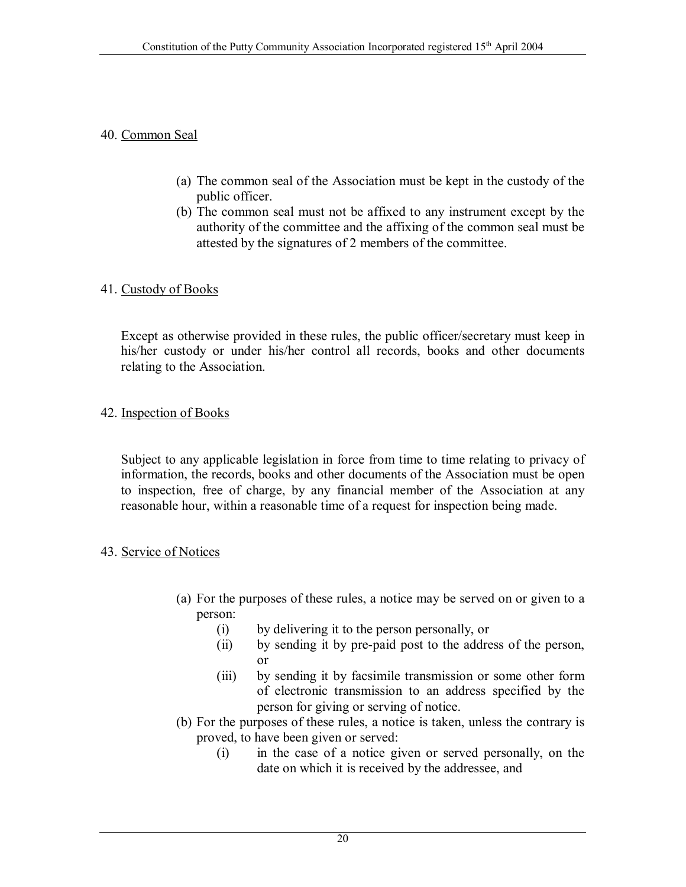#### 40. Common Seal

- (a) The common seal of the Association must be kept in the custody of the public officer.
- (b) The common seal must not be affixed to any instrument except by the authority of the committee and the affixing of the common seal must be attested by the signatures of 2 members of the committee.

#### 41. Custody of Books

Except as otherwise provided in these rules, the public officer/secretary must keep in his/her custody or under his/her control all records, books and other documents relating to the Association.

#### 42. Inspection of Books

Subject to any applicable legislation in force from time to time relating to privacy of information, the records, books and other documents of the Association must be open to inspection, free of charge, by any financial member of the Association at any reasonable hour, within a reasonable time of a request for inspection being made.

#### 43. Service of Notices

- (a) For the purposes of these rules, a notice may be served on or given to a person:
	- (i) by delivering it to the person personally, or
	- (ii) by sending it by pre-paid post to the address of the person, or
	- (iii) by sending it by facsimile transmission or some other form of electronic transmission to an address specified by the person for giving or serving of notice.
- (b) For the purposes of these rules, a notice is taken, unless the contrary is proved, to have been given or served:
	- (i) in the case of a notice given or served personally, on the date on which it is received by the addressee, and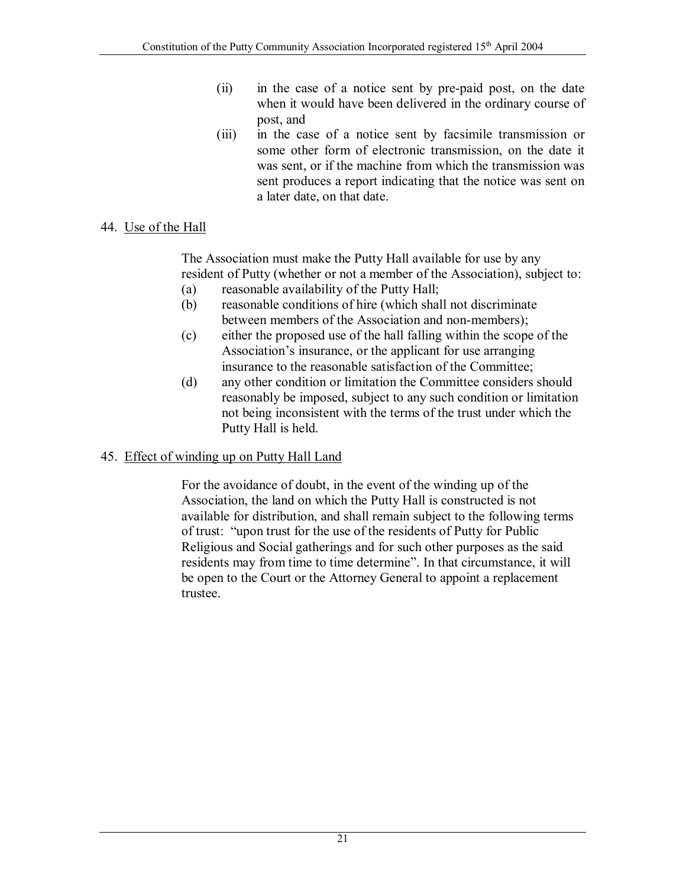- (ii) in the case of a notice sent by pre-paid post, on the date when it would have been delivered in the ordinary course of post, and
- (iii) in the case of a notice sent by facsimile transmission or some other form of electronic transmission, on the date it was sent, or if the machine from which the transmission was sent produces a report indicating that the notice was sent on a later date, on that date.

# 44. Use of the Hall

The Association must make the Putty Hall available for use by any resident of Putty (whether or not a member of the Association), subject to:

- (a) reasonable availability of the Putty Hall;
- (b) reasonable conditions of hire (which shall not discriminate between members of the Association and non-members);
- (c) either the proposed use of the hall falling within the scope of the Association's insurance, or the applicant for use arranging insurance to the reasonable satisfaction of the Committee;
- (d) any other condition or limitation the Committee considers should reasonably be imposed, subject to any such condition or limitation not being inconsistent with the terms of the trust under which the Putty Hall is held.

# 45. Effect of winding up on Putty Hall Land

For the avoidance of doubt, in the event of the winding up of the Association, the land on which the Putty Hall is constructed is not available for distribution, and shall remain subject to the following terms of trust: "upon trust for the use of the residents of Putty for Public Religious and Social gatherings and for such other purposes as the said residents may from time to time determine". In that circumstance, it will be open to the Court or the Attorney General to appoint a replacement trustee.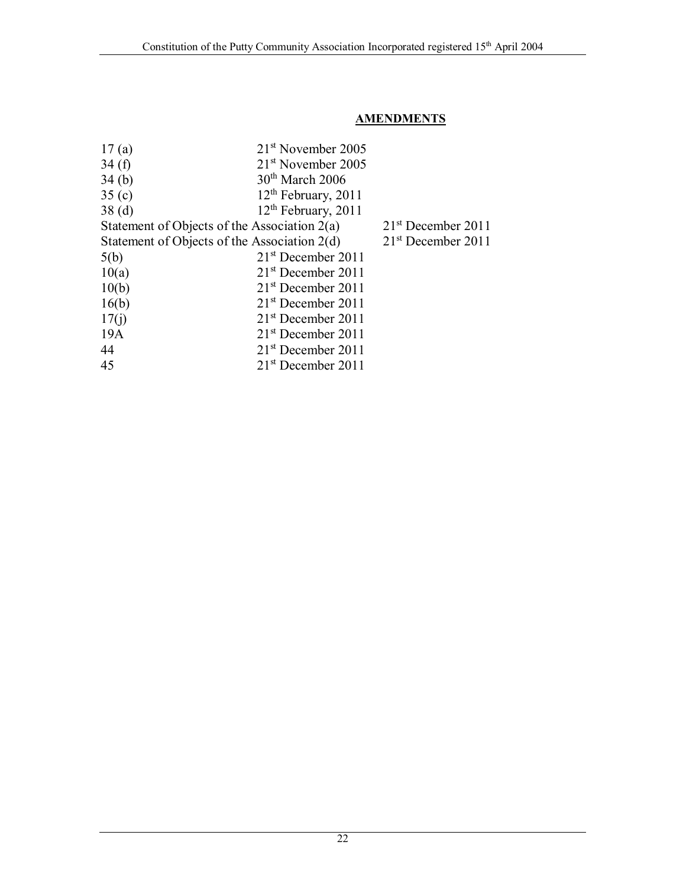## **AMENDMENTS**

| $21st$ November 2005                           |                      |
|------------------------------------------------|----------------------|
| $21st$ November 2005                           |                      |
| $30th$ March 2006                              |                      |
| 12 <sup>th</sup> February, 2011                |                      |
| $12th$ February, 2011                          |                      |
| Statement of Objects of the Association $2(a)$ | $21st$ December 2011 |
| Statement of Objects of the Association 2(d)   | $21st$ December 2011 |
| $21st$ December 2011                           |                      |
| $21st$ December 2011                           |                      |
| $21st$ December 2011                           |                      |
| $21st$ December 2011                           |                      |
| $21st$ December 2011                           |                      |
| $21st$ December 2011                           |                      |
| $21st$ December 2011                           |                      |
| $21st$ December 2011                           |                      |
|                                                |                      |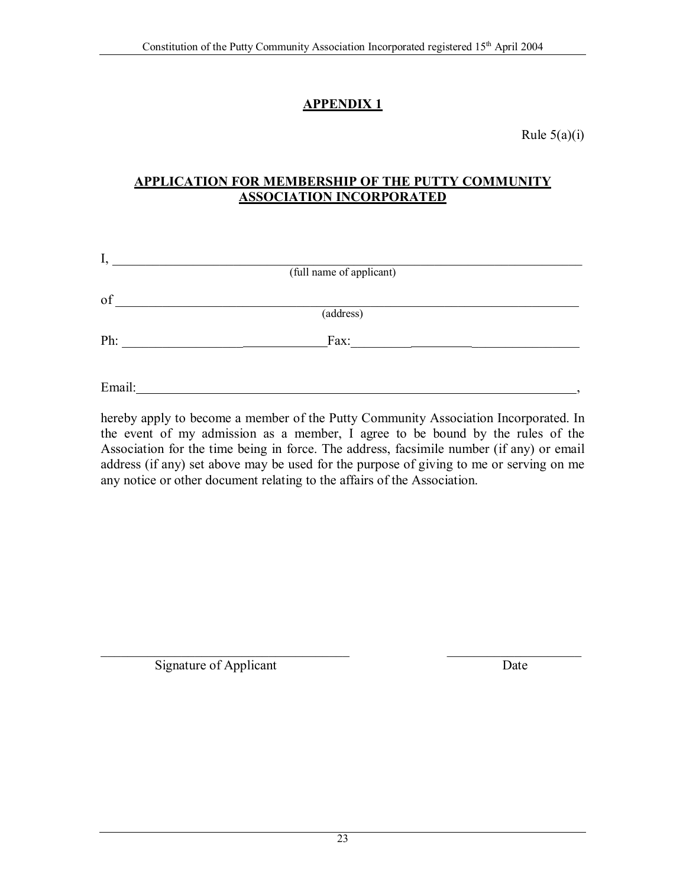# **APPENDIX 1**

Rule  $5(a)(i)$ 

## **APPLICATION FOR MEMBERSHIP OF THE PUTTY COMMUNITY ASSOCIATION INCORPORATED**

| ı,     | (full name of applicant) |  |
|--------|--------------------------|--|
| of     |                          |  |
|        | (address)                |  |
| Ph:    | Fax:                     |  |
|        |                          |  |
| Email: |                          |  |

hereby apply to become a member of the Putty Community Association Incorporated. In the event of my admission as a member, I agree to be bound by the rules of the Association for the time being in force. The address, facsimile number (if any) or email address (if any) set above may be used for the purpose of giving to me or serving on me any notice or other document relating to the affairs of the Association.

 $\mathcal{L}_\text{max}$  , and the contract of the contract of the contract of the contract of the contract of the contract of the contract of the contract of the contract of the contract of the contract of the contract of the contr Signature of Applicant Date